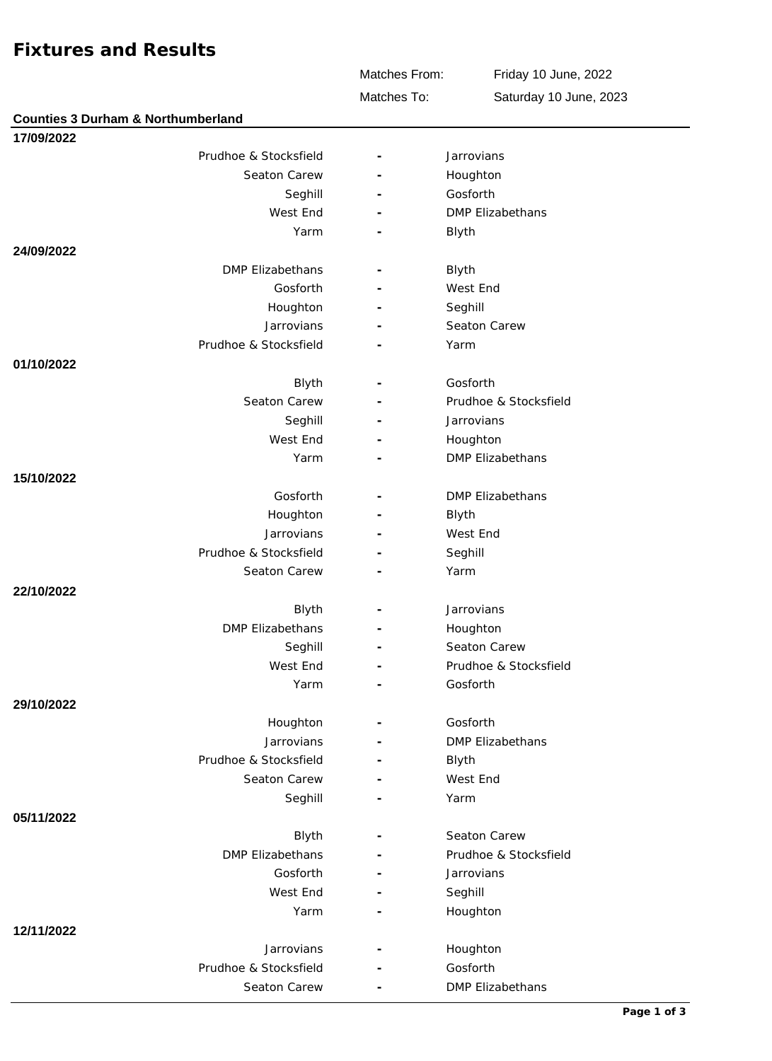## **Fixtures and Results**

**Counties 3 Durham & Northumberland**

Matches From:

Friday 10 June, 2022

Matches To:

Saturday 10 June, 2023

| 17/09/2022 |                         |   |                         |
|------------|-------------------------|---|-------------------------|
|            | Prudhoe & Stocksfield   |   | Jarrovians              |
|            | Seaton Carew            |   | Houghton                |
|            | Seghill                 |   | Gosforth                |
|            | West End                |   | <b>DMP Elizabethans</b> |
|            | Yarm                    |   | Blyth                   |
| 24/09/2022 |                         |   |                         |
|            | <b>DMP Elizabethans</b> |   | Blyth                   |
|            | Gosforth                |   | West End                |
|            | Houghton                |   | Seghill                 |
|            | Jarrovians              |   | Seaton Carew            |
|            | Prudhoe & Stocksfield   |   | Yarm                    |
| 01/10/2022 |                         |   |                         |
|            | Blyth                   |   | Gosforth                |
|            | Seaton Carew            |   | Prudhoe & Stocksfield   |
|            | Seghill                 |   | Jarrovians              |
|            | West End                |   | Houghton                |
|            | Yarm                    |   | <b>DMP Elizabethans</b> |
| 15/10/2022 |                         |   |                         |
|            | Gosforth                |   | <b>DMP Elizabethans</b> |
|            | Houghton                |   | Blyth                   |
|            | Jarrovians              |   | West End                |
|            | Prudhoe & Stocksfield   |   | Seghill                 |
|            | Seaton Carew            |   | Yarm                    |
| 22/10/2022 |                         |   |                         |
|            | Blyth                   |   | Jarrovians              |
|            | DMP Elizabethans        |   | Houghton                |
|            | Seghill                 |   | Seaton Carew            |
|            | West End                |   | Prudhoe & Stocksfield   |
|            | Yarm                    | ٠ | Gosforth                |
| 29/10/2022 |                         |   |                         |
|            | Houghton                |   | Gosforth                |
|            | Jarrovians              |   | <b>DMP Elizabethans</b> |
|            | Prudhoe & Stocksfield   |   | Blyth                   |
|            | Seaton Carew            |   | West End                |
|            | Seghill                 |   | Yarm                    |
| 05/11/2022 |                         |   |                         |
|            | Blyth                   |   | Seaton Carew            |
|            | <b>DMP Elizabethans</b> |   | Prudhoe & Stocksfield   |
|            | Gosforth                |   | Jarrovians              |
|            | West End                |   | Seghill                 |
|            | Yarm                    |   | Houghton                |
| 12/11/2022 |                         |   |                         |
|            | Jarrovians              |   | Houghton                |
|            | Prudhoe & Stocksfield   |   | Gosforth                |
|            | Seaton Carew            |   | DMP Elizabethans        |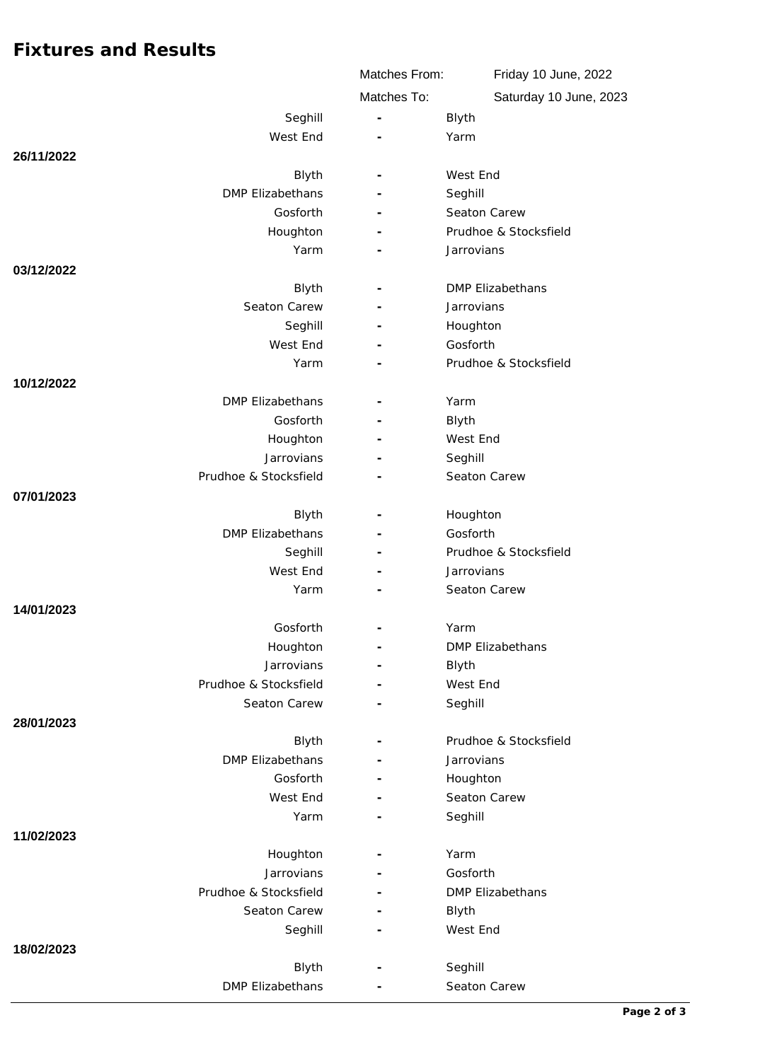## **Fixtures and Results**

|                         | Matches From:            | Friday 10 June, 2022    |
|-------------------------|--------------------------|-------------------------|
|                         | Matches To:              | Saturday 10 June, 2023  |
| Seghill                 | $\sim$                   | Blyth                   |
| West End                |                          | Yarm                    |
| 26/11/2022              |                          |                         |
| Blyth                   |                          | West End                |
| <b>DMP Elizabethans</b> |                          | Seghill                 |
| Gosforth                |                          | Seaton Carew            |
| Houghton                |                          | Prudhoe & Stocksfield   |
| Yarm                    |                          | Jarrovians              |
| 03/12/2022              |                          |                         |
| Blyth                   |                          | DMP Elizabethans        |
| Seaton Carew            |                          | Jarrovians              |
| Seghill                 |                          | Houghton                |
| West End                |                          | Gosforth                |
| Yarm                    |                          | Prudhoe & Stocksfield   |
| 10/12/2022              |                          |                         |
| <b>DMP Elizabethans</b> |                          | Yarm                    |
| Gosforth                |                          | Blyth<br>West End       |
| Houghton<br>Jarrovians  |                          | Seghill                 |
| Prudhoe & Stocksfield   |                          | Seaton Carew            |
| 07/01/2023              |                          |                         |
| Blyth                   |                          | Houghton                |
| <b>DMP Elizabethans</b> |                          | Gosforth                |
| Seghill                 |                          | Prudhoe & Stocksfield   |
| West End                |                          | Jarrovians              |
| Yarm                    |                          | Seaton Carew            |
| 14/01/2023              |                          |                         |
| Gosforth                |                          | Yarm                    |
| Houghton                |                          | <b>DMP Elizabethans</b> |
| Jarrovians              |                          | Blyth                   |
| Prudhoe & Stocksfield   |                          | West End                |
| Seaton Carew            |                          | Seghill                 |
| 28/01/2023              |                          |                         |
| Blyth                   | $\overline{\phantom{a}}$ | Prudhoe & Stocksfield   |
| <b>DMP Elizabethans</b> |                          | Jarrovians              |
| Gosforth                |                          | Houghton                |
| West End                |                          | Seaton Carew            |
| Yarm                    | $\overline{\phantom{a}}$ | Seghill                 |
| 11/02/2023<br>Houghton  |                          | Yarm                    |
| Jarrovians              |                          | Gosforth                |
| Prudhoe & Stocksfield   |                          | DMP Elizabethans        |
| Seaton Carew            |                          | Blyth                   |
| Seghill                 |                          | West End                |
| 18/02/2023              |                          |                         |
| Blyth                   | $\overline{\phantom{a}}$ | Seghill                 |
| DMP Elizabethans        |                          | Seaton Carew            |